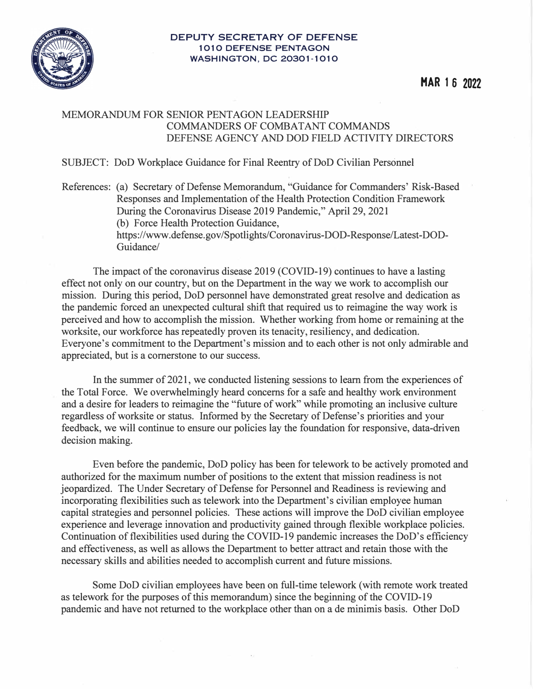

## **DEPUTY SECRETARY OF DEFENSE 1010 DEFENSE PENTAGON WASHINGTON, DC 20301-1010**

## MEMORANDUM FOR SENIOR PENTAGON LEADERSHIP COMMANDERS OF COMBATANT COMMANDS DEFENSE AGENCY AND DOD FIELD ACTIVITY DIRECTORS

## SUBJECT: DoD Workplace Guidance for Final Reentry of DoD Civilian Personnel

References: (a) Secretary of Defense Memorandum, "Guidance for Commanders' Risk-Based Responses and Implementation of the Health Protection Condition Framework During the Coronavirus Disease 2019 Pandemic," April 29, 2021 (b) Force Health Protection Guidance, https://www.defense.gov/Spotlights/Coronavirus-DOD-Response/Latest-DOD-

Guidance/

The impact of the coronavirus disease 2019 (COVID-19) continues to have a lasting effect not only on our country, but on the Department in the way we work to accomplish our mission. During this period, DoD personnel have demonstrated great resolve and dedication as the pandemic forced an unexpected cultural shift that required us to reimagine the way work is perceived and how to accomplish the mission. Whether working from home or remaining at the worksite, our workforce has repeatedly proven its tenacity, resiliency, and dedication. Everyone's commitment to the Department's mission and to each other is not only admirable and appreciated, but is a cornerstone to our success.

In the summer of 2021, we conducted listening sessions to learn from the experiences of the Total Force. We overwhelmingly heard concerns for a safe and healthy work environment and a desire for leaders to reimagine the "future of work" while promoting an inclusive culture regardless of worksite or status. Informed by the Secretary of Defense's priorities and your feedback, we will continue to ensure our policies lay the foundation for responsive, data-driven decision making.

Even before the pandemic, DoD policy has been for telework to be actively promoted and authorized for the maximum number of positions to the extent that mission readiness is not jeopardized. The Under Secretary of Defense for Personnel and Readiness is reviewing and incorporating flexibilities such as telework into the Department's civilian employee human capital strategies and personnel policies. These actions will improve the DoD civilian employee experience and leverage innovation and productivity gained through flexible workplace policies. Continuation of flexibilities used during the COVID-19 pandemic increases the DoD's efficiency and effectiveness, as well as allows the Department to better attract and retain those with the necessary skills and abilities needed to accomplish current and future missions.

Some DoD civilian employees have been on full-time telework (with remote work treated as telework for the purposes of this memorandum) since the beginning of the COVID-19 pandemic and have not returned to the workplace other than on a de minimis basis. Other DoD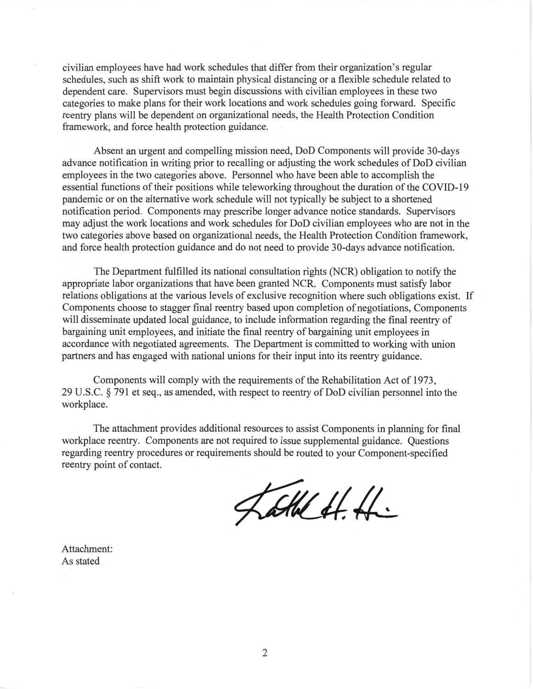civilian employees have had work schedules that differ from their organization's regular schedules, such as shift work to maintain physical distancing or a flexible schedule related to dependent care. Supervisors must begin discussions with civilian employees in these two categories to make plans for their work locations and work schedules going forward. Specific reentry plans will be dependent on organizational needs, the Health Protection Condition framework, and force health protection guidance.

Absent an urgent and compelling mission need, DoD Components will provide 30-days advance notification in writing prior to recalling or adjusting the work schedules of DoD civilian employees in the two categories above. Personnel who have been able to accomplish the essential functions of their positions while teleworking throughout the duration of the COVID-19 pandemic or on the alternative work schedule will not typically be subject to a shortened notification period. Components may prescribe longer advance notice standards. Supervisors may adjust the work locations and work schedules for DoD civilian employees who are not in the two categories above based on organizational needs, the Health Protection Condition framework, and force health protection guidance and do not need to provide 30-days advance notification.

The Department fulfilled its national consultation rights (NCR) obligation to notify the appropriate labor organizations that have been granted NCR. Components must satisfy labor relations obligations at the various levels of exclusive recognition where such obligations exist. If Components choose to stagger final reentry based upon completion of negotiations, Components will disseminate updated local guidance, to include information regarding the final reentry of bargaining unit employees, and initiate the final reentry of bargaining unit employees in accordance with negotiated agreements. The Department is committed to working with union partners and has engaged with national unions for their input into its reentry guidance.

Components will comply with the requirements of the Rehabilitation Act of 1973, 29 U.S.C. § 791 et seq., as amended, with respect to reentry of DoD civilian personnel into the workplace.

The attachment provides additional resources to assist Components in planning for final workplace reentry. Components are not required to issue supplemental guidance. Questions regarding reentry procedures or requirements should be routed to your Component-specified reentry point of contact.

Latte H.H.

Attachment: As stated